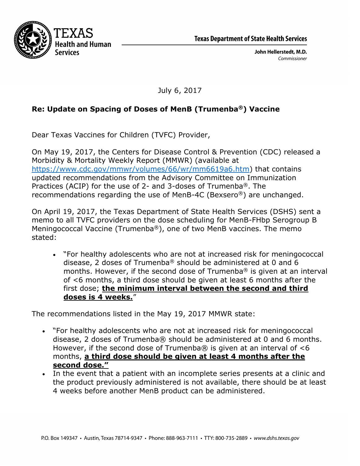



John Hellerstedt, M.D. Commissioner

July 6, 2017

## **Re: Update on Spacing of Doses of MenB (Trumenba®) Vaccine**

Dear Texas Vaccines for Children (TVFC) Provider,

On May 19, 2017, the Centers for Disease Control & Prevention (CDC) released a Morbidity & Mortality Weekly Report (MMWR) (available at https://www.cdc.gov/mmwr/volumes/66/wr/mm6619a6.htm) that contains updated recommendations from the Advisory Committee on Immunization Practices (ACIP) for the use of 2- and 3-doses of Trumenba®. The recommendations regarding the use of MenB-4C (Bexsero®) are unchanged.

On April 19, 2017, the Texas Department of State Health Services (DSHS) sent a memo to all TVFC providers on the dose scheduling for MenB-FHbp Serogroup B Meningococcal Vaccine (Trumenba®), one of two MenB vaccines. The memo stated:

 "For healthy adolescents who are not at increased risk for meningococcal disease, 2 doses of Trumenba® should be administered at 0 and 6 months. However, if the second dose of Trumenba® is given at an interval of <6 months, a third dose should be given at least 6 months after the first dose; **the minimum interval between the second and third doses is 4 weeks.**"

The recommendations listed in the May 19, 2017 MMWR state:

- "For healthy adolescents who are not at increased risk for meningococcal disease, 2 doses of Trumenba® should be administered at 0 and 6 months. However, if the second dose of Trumenba $\odot$  is given at an interval of <6 months, **a third dose should be given at least 4 months after the second dose."**
- In the event that a patient with an incomplete series presents at a clinic and the product previously administered is not available, there should be at least 4 weeks before another MenB product can be administered.